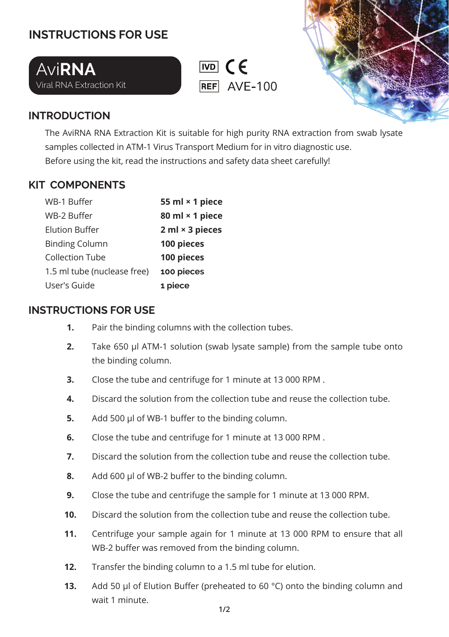# **INSTRUCTIONS FOR USE**







## **INTRODUCTION**

The AviRNA RNA Extraction Kit is suitable for high purity RNA extraction from swab lysate samples collected in ATM-1 Virus Transport Medium for in vitro diagnostic use. Before using the kit, read the instructions and safety data sheet carefully!

## **KIT COMPONENTS**

| WB-1 Buffer                 | 55 ml × 1 piece        |
|-----------------------------|------------------------|
| WB-2 Buffer                 | 80 ml × 1 piece        |
| Elution Buffer              | $2 ml \times 3 pieces$ |
| <b>Binding Column</b>       | 100 pieces             |
| Collection Tube             | 100 pieces             |
| 1.5 ml tube (nuclease free) | 100 pieces             |
| User's Guide                | 1 piece                |

### **INSTRUCTIONS FOR USE**

- Pair the binding columns with the collection tubes. **1.**
- Take 650 μl ATM-1 solution (swab lysate sample) from the sample tube onto the binding column. **2.**
- Close the tube and centrifuge for 1 minute at 13 000 RPM . **3.**
- Discard the solution from the collection tube and reuse the collection tube. **4.**
- Add 500 μl of WB-1 buffer to the binding column. **5.**
- Close the tube and centrifuge for 1 minute at 13 000 RPM . **6.**
- Discard the solution from the collection tube and reuse the collection tube. **7.**
- Add 600 μl of WB-2 buffer to the binding column. **8.**
- Close the tube and centrifuge the sample for 1 minute at 13 000 RPM. **9.**
- Discard the solution from the collection tube and reuse the collection tube. **10.**
- Centrifuge your sample again for 1 minute at 13 000 RPM to ensure that all WB-2 buffer was removed from the binding column. **11.**
- Transfer the binding column to a 1.5 ml tube for elution. **12.**
- Add 50 μl of Elution Buffer (preheated to 60 °C) onto the binding column and wait 1 minute. **13.**